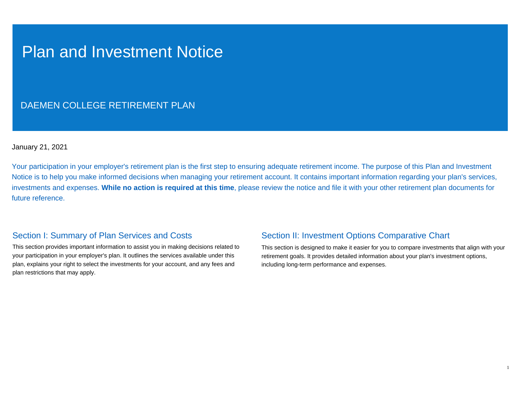# Plan and Investment Notice

## DAEMEN COLLEGE RETIREMENT PLAN

January 21, 2021

Your participation in your employer's retirement plan is the first step to ensuring adequate retirement income. The purpose of this Plan and Investment Notice is to help you make informed decisions when managing your retirement account. It contains important information regarding your plan's services, investments and expenses. **While no action is required at this time**, please review the notice and file it with your other retirement plan documents for future reference.

### Section I: Summary of Plan Services and Costs

This section provides important information to assist you in making decisions related to your participation in your employer's plan. It outlines the services available under this plan, explains your right to select the investments for your account, and any fees and plan restrictions that may apply.

## Section II: Investment Options Comparative Chart

This section is designed to make it easier for you to compare investments that align with your retirement goals. It provides detailed information about your plan's investment options, including long-term performance and expenses.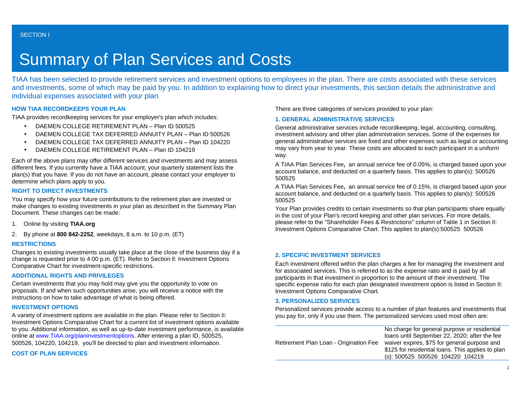# Summary of Plan Services and Costs

TIAA has been selected to provide retirement services and investment options to employees in the plan. There are costs associated with these services and investments, some of which may be paid by you. In addition to explaining how to direct your investments, this section details the administrative and individual expenses associated with your plan.

#### **HOW TIAA RECORDKEEPS YOUR PLAN**

TIAA provides recordkeeping services for your employer's plan which includes:

- DAEMEN COLLEGE RETIREMENT PLAN Plan ID 500525
- DAEMEN COLLEGE TAX DEFERRED ANNUITY PLAN Plan ID 500526
- DAEMEN COLLEGE TAX DEFERRED ANNUITY PLAN Plan ID 104220
- DAEMEN COLLEGE RETIREMENT PLAN Plan ID 104219

Each of the above plans may offer different services and investments and may assess different fees. If you currently have a TIAA account, your quarterly statement lists the plan(s) that you have. If you do not have an account, please contact your employer to determine which plans apply to you.

#### **RIGHT TO DIRECT INVESTMENTS**

You may specify how your future contributions to the retirement plan are invested or make changes to existing investments in your plan as described in the Summary Plan Document. These changes can be made:

- 1. Online by visiting **TIAA.org**
- 2. By phone at **800 842-2252**, weekdays, 8 a.m. to 10 p.m. (ET)

#### **RESTRICTIONS**

Changes to existing investments usually take place at the close of the business day if a change is requested prior to 4:00 p.m. (ET). Refer to Section ll: Investment Options Comparative Chart for investment-specific restrictions.

#### **ADDITIONAL RIGHTS AND PRIVILEGES**

Certain investments that you may hold may give you the opportunity to vote on proposals. If and when such opportunities arise, you will receive a notice with the instructions on how to take advantage of what is being offered.

#### **INVESTMENT OPTIONS**

A variety of investment options are available in the plan. Please refer to Section II: Investment Options Comparative Chart for a current list of investment options available to you. Additional information, as well as up-to-date investment performance, is available online at [www.TIAA.org/planinvestmentoptions](http://www.tiaa-cref.org/planinvestmentoptions). After entering a plan ID, 500525, 500526, 104220, 104219, you'll be directed to plan and investment information.

**COST OF PLAN SERVICES**

There are three categories of services provided to your plan:

#### **1. GENERAL ADMINISTRATIVE SERVICES**

General administrative services include recordkeeping, legal, accounting, consulting, investment advisory and other plan administration services. Some of the expenses for general administrative services are fixed and other expenses such as legal or accounting may vary from year to year. These costs are allocated to each participant in a uniform way.

A TIAA Plan Services Fee**,** an annual service fee of 0.05%, is charged based upon your account balance, and deducted on a quarterly basis. This applies to plan(s): 500526 500525

A TIAA Plan Services Fee**,** an annual service fee of 0.15%, is charged based upon your account balance, and deducted on a quarterly basis. This applies to plan(s): 500526 500525

Your Plan provides credits to certain investments so that plan participants share equally in the cost of your Plan's record keeping and other plan services. For more details, please refer to the "Shareholder Fees & Restrictions" column of Table 1 in Section II: Investment Options Comparative Chart. This applies to plan(s):500525 500526

#### **2. SPECIFIC INVESTMENT SERVICES**

Each investment offered within the plan charges a fee for managing the investment and for associated services. This is referred to as the expense ratio and is paid by all participants in that investment in proportion to the amount of their investment. The specific expense ratio for each plan designated investment option is listed in Section II: Investment Options Comparative Chart.

#### **3. PERSONALIZED SERVICES**

Personalized services provide access to a number of plan features and investments that you pay for, only if you use them. The personalized services used most often are:

|                                        | No charge for general purpose or residential      |
|----------------------------------------|---------------------------------------------------|
| Retirement Plan Loan - Origination Fee | loans until September 22, 2020; after the fee     |
|                                        | waiver expires, \$75 for general purpose and      |
|                                        | \$125 for residential loans. This applies to plan |
|                                        | (s): 500525 500526 104220 104219                  |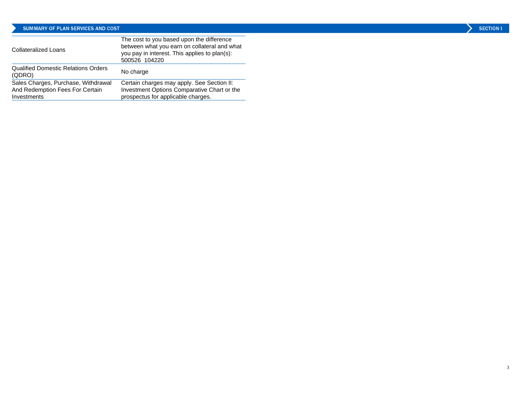#### SUMMARY OF PLAN SERVICES AND COST

| <b>Collateralized Loans</b>                                                           | The cost to you based upon the difference<br>between what you earn on collateral and what<br>you pay in interest. This applies to plan(s):<br>500526 104220 |
|---------------------------------------------------------------------------------------|-------------------------------------------------------------------------------------------------------------------------------------------------------------|
| <b>Qualified Domestic Relations Orders</b><br>(QDRO)                                  | No charge                                                                                                                                                   |
| Sales Charges, Purchase, Withdrawal<br>And Redemption Fees For Certain<br>Investments | Certain charges may apply. See Section II:<br>Investment Options Comparative Chart or the<br>prospectus for applicable charges.                             |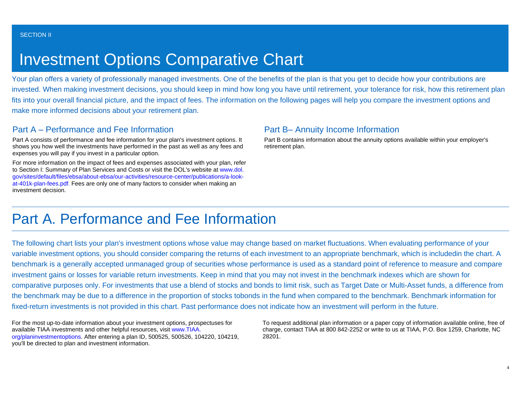# Investment Options Comparative Chart

Your plan offers a variety of professionally managed investments. One of the benefits of the plan is that you get to decide how your contributions are invested. When making investment decisions, you should keep in mind how long you have until retirement, your tolerance for risk, how this retirement plan fits into your overall financial picture, and the impact of fees. The information on the following pages will help you compare the investment options and make more informed decisions about your retirement plan.

## Part A – Performance and Fee Information

Part A consists of performance and fee information for your plan's investment options. It shows you how well the investments have performed in the past as well as any fees and expenses you will pay if you invest in a particular option.

For more information on the impact of fees and expenses associated with your plan, refer to Section I: Summary of Plan Services and Costs or visit the DOL's website at [www.dol.](http://www.dol.gov/sites/default/files/ebsa/about-ebsa/our-activities/resource-center/publications/a-look-at-401k-plan-fees.pdf) [gov/sites/default/files/ebsa/about-ebsa/our-activities/resource-center/publications/a-look](http://www.dol.gov/sites/default/files/ebsa/about-ebsa/our-activities/resource-center/publications/a-look-at-401k-plan-fees.pdf)[at-401k-plan-fees.pdf](http://www.dol.gov/sites/default/files/ebsa/about-ebsa/our-activities/resource-center/publications/a-look-at-401k-plan-fees.pdf). Fees are only one of many factors to consider when making an investment decision.

### Part B– Annuity Income Information

Part B contains information about the annuity options available within your employer's retirement plan.

# Part A. Performance and Fee Information

The following chart lists your plan's investment options whose value may change based on market fluctuations. When evaluating performance of your variable investment options, you should consider comparing the returns of each investment to an appropriate benchmark, which is includedin the chart. A benchmark is a generally accepted unmanaged group of securities whose performance is used as a standard point of reference to measure and compare investment gains or losses for variable return investments. Keep in mind that you may not invest in the benchmark indexes which are shown for comparative purposes only. For investments that use a blend of stocks and bonds to limit risk, such as Target Date or Multi-Asset funds, a difference from the benchmark may be due to a difference in the proportion of stocks tobonds in the fund when compared to the benchmark. Benchmark information for fixed-return investments is not provided in this chart. Past performance does not indicate how an investment will perform in the future.

For the most up-to-date information about your investment options, prospectuses for available TIAA investments and other helpful resources, visit [www.TIAA.](http://www.tiaa-cref.org/planinvestmentoptions) [org/planinvestmentoptions](http://www.tiaa-cref.org/planinvestmentoptions). After entering a plan ID, 500525, 500526, 104220, 104219, you'll be directed to plan and investment information.

To request additional plan information or a paper copy of information available online, free of charge, contact TIAA at 800 842-2252 or write to us at TIAA, P.O. Box 1259, Charlotte, NC 28201.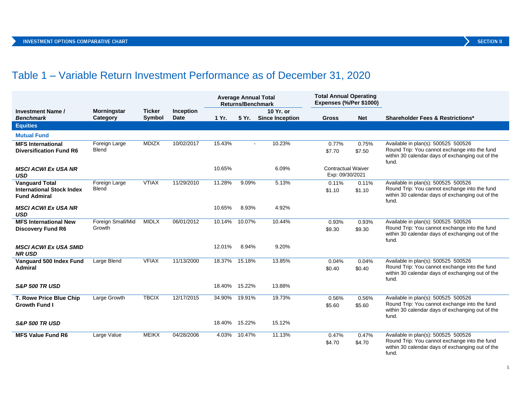# Table 1 – Variable Return Investment Performance as of December 31, 2020

|                                                                                  |                                |                         |                          | <b>Average Annual Total</b><br><b>Returns/Benchmark</b> |        |                                    | <b>Total Annual Operating</b><br>Expenses (%/Per \$1000) |                 |                                                                                                                                                   |
|----------------------------------------------------------------------------------|--------------------------------|-------------------------|--------------------------|---------------------------------------------------------|--------|------------------------------------|----------------------------------------------------------|-----------------|---------------------------------------------------------------------------------------------------------------------------------------------------|
| <b>Investment Name /</b><br><b>Benchmark</b>                                     | <b>Morningstar</b><br>Category | <b>Ticker</b><br>Symbol | Inception<br><b>Date</b> | 1 Yr.                                                   |        | 10 Yr. or<br>5 Yr. Since Inception | <b>Gross</b>                                             | <b>Net</b>      | <b>Shareholder Fees &amp; Restrictions*</b>                                                                                                       |
| <b>Equities</b>                                                                  |                                |                         |                          |                                                         |        |                                    |                                                          |                 |                                                                                                                                                   |
| <b>Mutual Fund</b>                                                               |                                |                         |                          |                                                         |        |                                    |                                                          |                 |                                                                                                                                                   |
| <b>MFS International</b><br><b>Diversification Fund R6</b>                       | Foreign Large<br><b>Blend</b>  | <b>MDIZX</b>            | 10/02/2017               | 15.43%                                                  | $\sim$ | 10.23%                             | 0.77%<br>\$7.70                                          | 0.75%<br>\$7.50 | Available in plan(s): 500525 500526<br>Round Trip: You cannot exchange into the fund<br>within 30 calendar days of exchanging out of the<br>fund. |
| <b>MSCI ACWI Ex USA NR</b><br><b>USD</b>                                         |                                |                         |                          | 10.65%                                                  |        | 6.09%                              | <b>Contractual Waiver</b><br>Exp: 09/30/2021             |                 |                                                                                                                                                   |
| <b>Vanguard Total</b><br><b>International Stock Index</b><br><b>Fund Admiral</b> | Foreign Large<br>Blend         | <b>VTIAX</b>            | 11/29/2010               | 11.28%                                                  | 9.09%  | 5.13%                              | 0.11%<br>\$1.10                                          | 0.11%<br>\$1.10 | Available in plan(s): 500525 500526<br>Round Trip: You cannot exchange into the fund<br>within 30 calendar days of exchanging out of the<br>fund. |
| <b>MSCI ACWI Ex USA NR</b><br><b>USD</b>                                         |                                |                         |                          | 10.65%                                                  | 8.93%  | 4.92%                              |                                                          |                 |                                                                                                                                                   |
| <b>MFS</b> International New<br><b>Discovery Fund R6</b>                         | Foreign Small/Mid<br>Growth    | <b>MIDLX</b>            | 06/01/2012               | 10.14%                                                  | 10.07% | 10.44%                             | 0.93%<br>\$9.30                                          | 0.93%<br>\$9.30 | Available in plan(s): 500525 500526<br>Round Trip: You cannot exchange into the fund<br>within 30 calendar days of exchanging out of the<br>fund. |
| <b>MSCI ACWI Ex USA SMID</b><br><b>NR USD</b>                                    |                                |                         |                          | 12.01%                                                  | 8.94%  | 9.20%                              |                                                          |                 |                                                                                                                                                   |
| Vanquard 500 Index Fund<br><b>Admiral</b>                                        | Large Blend                    | <b>VFIAX</b>            | 11/13/2000               | 18.37%                                                  | 15.18% | 13.85%                             | 0.04%<br>\$0.40                                          | 0.04%<br>\$0.40 | Available in plan(s): 500525 500526<br>Round Trip: You cannot exchange into the fund<br>within 30 calendar days of exchanging out of the<br>fund. |
| <b>S&amp;P 500 TR USD</b>                                                        |                                |                         |                          | 18.40%                                                  | 15.22% | 13.88%                             |                                                          |                 |                                                                                                                                                   |
| T. Rowe Price Blue Chip<br><b>Growth Fund I</b>                                  | Large Growth                   | <b>TBCIX</b>            | 12/17/2015               | 34.90%                                                  | 19.91% | 19.73%                             | 0.56%<br>\$5.60                                          | 0.56%<br>\$5.60 | Available in plan(s): 500525 500526<br>Round Trip: You cannot exchange into the fund<br>within 30 calendar days of exchanging out of the<br>fund. |
| <b>S&amp;P 500 TR USD</b>                                                        |                                |                         |                          | 18.40% 15.22%                                           |        | 15.12%                             |                                                          |                 |                                                                                                                                                   |
| <b>MFS Value Fund R6</b>                                                         | Large Value                    | <b>MEIKX</b>            | 04/28/2006               | 4.03%                                                   | 10.47% | 11.13%                             | 0.47%<br>\$4.70                                          | 0.47%<br>\$4.70 | Available in plan(s): 500525 500526<br>Round Trip: You cannot exchange into the fund<br>within 30 calendar days of exchanging out of the<br>fund. |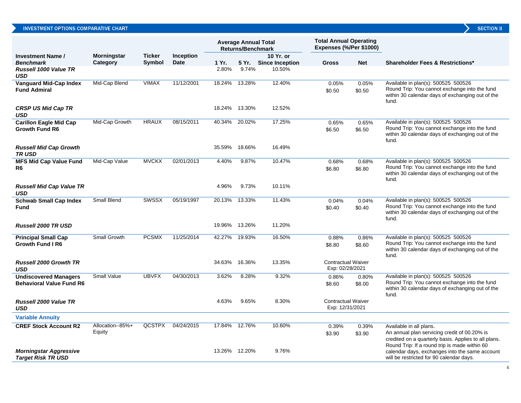|                                                                 |                           |               |             |               | <b>Average Annual Total</b><br><b>Returns/Benchmark</b> |                       | <b>Total Annual Operating</b><br>Expenses (%/Per \$1000) |                 |                                                                                                                                                                                  |
|-----------------------------------------------------------------|---------------------------|---------------|-------------|---------------|---------------------------------------------------------|-----------------------|----------------------------------------------------------|-----------------|----------------------------------------------------------------------------------------------------------------------------------------------------------------------------------|
| <b>Investment Name /</b>                                        | <b>Morningstar</b>        | <b>Ticker</b> | Inception   |               |                                                         | 10 Yr. or             |                                                          |                 |                                                                                                                                                                                  |
| <b>Benchmark</b>                                                | Category                  | <b>Symbol</b> | <b>Date</b> | 1 Yr.         |                                                         | 5 Yr. Since Inception | <b>Gross</b>                                             | <b>Net</b>      | <b>Shareholder Fees &amp; Restrictions*</b>                                                                                                                                      |
| <b>Russell 1000 Value TR</b><br><b>USD</b>                      |                           |               |             | 2.80%         | 9.74%                                                   | 10.50%                |                                                          |                 |                                                                                                                                                                                  |
| <b>Vanguard Mid-Cap Index</b><br><b>Fund Admiral</b>            | Mid-Cap Blend             | <b>VIMAX</b>  | 11/12/2001  | 18.24%        | 13.28%                                                  | 12.40%                | 0.05%<br>\$0.50                                          | 0.05%<br>\$0.50 | Available in plan(s): 500525 500526<br>Round Trip: You cannot exchange into the fund<br>within 30 calendar days of exchanging out of the<br>fund.                                |
| <b>CRSP US Mid Cap TR</b><br>USD                                |                           |               |             | 18.24% 13.30% |                                                         | 12.52%                |                                                          |                 |                                                                                                                                                                                  |
| <b>Carillon Eagle Mid Cap</b><br><b>Growth Fund R6</b>          | Mid-Cap Growth            | <b>HRAUX</b>  | 08/15/2011  | 40.34%        | 20.02%                                                  | 17.25%                | 0.65%<br>\$6.50                                          | 0.65%<br>\$6.50 | Available in plan(s): 500525 500526<br>Round Trip: You cannot exchange into the fund<br>within 30 calendar days of exchanging out of the<br>fund.                                |
| <b>Russell Mid Cap Growth</b><br>TR USD                         |                           |               |             | 35.59%        | 18.66%                                                  | 16.49%                |                                                          |                 |                                                                                                                                                                                  |
| <b>MFS Mid Cap Value Fund</b><br>R6                             | Mid-Cap Value             | <b>MVCKX</b>  | 02/01/2013  | 4.40%         | 9.87%                                                   | 10.47%                | 0.68%<br>\$6.80                                          | 0.68%<br>\$6.80 | Available in plan(s): 500525 500526<br>Round Trip: You cannot exchange into the fund<br>within 30 calendar days of exchanging out of the<br>fund.                                |
| <b>Russell Mid Cap Value TR</b><br><b>USD</b>                   |                           |               |             | 4.96%         | 9.73%                                                   | 10.11%                |                                                          |                 |                                                                                                                                                                                  |
| <b>Schwab Small Cap Index</b><br><b>Fund</b>                    | Small Blend               | <b>SWSSX</b>  | 05/19/1997  | 20.13%        | 13.33%                                                  | 11.43%                | 0.04%<br>\$0.40                                          | 0.04%<br>\$0.40 | Available in plan(s): 500525 500526<br>Round Trip: You cannot exchange into the fund<br>within 30 calendar days of exchanging out of the<br>fund.                                |
| <b>Russell 2000 TR USD</b>                                      |                           |               |             | 19.96%        | 13.26%                                                  | 11.20%                |                                                          |                 |                                                                                                                                                                                  |
| <b>Principal Small Cap</b><br><b>Growth Fund I R6</b>           | Small Growth              | <b>PCSMX</b>  | 11/25/2014  | 42.27%        | 19.93%                                                  | 16.50%                | 0.88%<br>\$8.80                                          | 0.86%<br>\$8.60 | Available in plan(s): 500525 500526<br>Round Trip: You cannot exchange into the fund<br>within 30 calendar days of exchanging out of the<br>fund.                                |
| <b>Russell 2000 Growth TR</b><br><b>USD</b>                     |                           |               |             | 34.63%        | 16.36%                                                  | 13.35%                | <b>Contractual Waiver</b><br>Exp: 02/28/2021             |                 |                                                                                                                                                                                  |
| <b>Undiscovered Managers</b><br><b>Behavioral Value Fund R6</b> | <b>Small Value</b>        | <b>UBVFX</b>  | 04/30/2013  | 3.62%         | 8.28%                                                   | 9.32%                 | 0.86%<br>\$8.60                                          | 0.80%<br>\$8.00 | Available in plan(s): 500525 500526<br>Round Trip: You cannot exchange into the fund<br>within 30 calendar days of exchanging out of the<br>fund.                                |
| <b>Russell 2000 Value TR</b><br>USD                             |                           |               |             | 4.63%         | 9.65%                                                   | 8.30%                 | <b>Contractual Waiver</b><br>Exp: 12/31/2021             |                 |                                                                                                                                                                                  |
| <b>Variable Annuity</b>                                         |                           |               |             |               |                                                         |                       |                                                          |                 |                                                                                                                                                                                  |
| <b>CREF Stock Account R2</b>                                    | Allocation-85%+<br>Equity | <b>QCSTPX</b> | 04/24/2015  | 17.84%        | 12.76%                                                  | 10.60%                | 0.39%<br>\$3.90                                          | 0.39%<br>\$3.90 | Available in all plans.<br>An annual plan servicing credit of 00.20% is<br>credited on a quarterly basis. Applies to all plans.<br>Round Trip: If a round trip is made within 60 |
| <b>Morningstar Aggressive</b><br><b>Target Risk TR USD</b>      |                           |               |             |               | 13.26% 12.20%                                           | 9.76%                 |                                                          |                 | calendar days, exchanges into the same account<br>will be restricted for 90 calendar days.                                                                                       |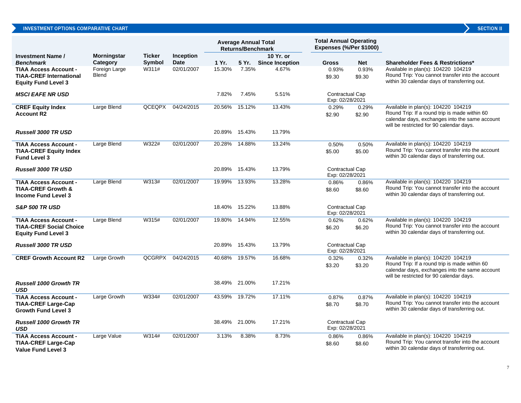|                                                                                              |                               |               |                  |               | <b>Average Annual Total</b><br><b>Returns/Benchmark</b> |                        | <b>Total Annual Operating</b><br>Expenses (%/Per \$1000) |                 |                                                                                                                                                                                    |
|----------------------------------------------------------------------------------------------|-------------------------------|---------------|------------------|---------------|---------------------------------------------------------|------------------------|----------------------------------------------------------|-----------------|------------------------------------------------------------------------------------------------------------------------------------------------------------------------------------|
| <b>Investment Name /</b>                                                                     | Morningstar                   | <b>Ticker</b> | <b>Inception</b> |               |                                                         | 10 Yr. or              |                                                          |                 |                                                                                                                                                                                    |
| <b>Benchmark</b>                                                                             | Category                      | <b>Symbol</b> | <b>Date</b>      | 1 Yr.         | 5 Yr. 1                                                 | <b>Since Inception</b> | <b>Gross</b>                                             | <b>Net</b>      | <b>Shareholder Fees &amp; Restrictions*</b>                                                                                                                                        |
| <b>TIAA Access Account -</b><br><b>TIAA-CREF International</b><br><b>Equity Fund Level 3</b> | Foreign Large<br><b>Blend</b> | W311#         | 02/01/2007       | 15.30%        | 7.35%                                                   | 4.67%                  | 0.93%<br>\$9.30                                          | 0.93%<br>\$9.30 | Available in plan(s): 104220 104219<br>Round Trip: You cannot transfer into the account<br>within 30 calendar days of transferring out.                                            |
| <b>MSCI EAFE NR USD</b>                                                                      |                               |               |                  | 7.82%         | 7.45%                                                   | 5.51%                  | <b>Contractual Cap</b><br>Exp: 02/28/2021                |                 |                                                                                                                                                                                    |
| <b>CREF Equity Index</b><br><b>Account R2</b>                                                | Large Blend                   | QCEQPX        | 04/24/2015       |               | 20.56% 15.12%                                           | 13.43%                 | 0.29%<br>\$2.90                                          | 0.29%<br>\$2.90 | Available in plan(s): 104220 104219<br>Round Trip: If a round trip is made within 60<br>calendar days, exchanges into the same account<br>will be restricted for 90 calendar days. |
| <b>Russell 3000 TR USD</b>                                                                   |                               |               |                  | 20.89% 15.43% |                                                         | 13.79%                 |                                                          |                 |                                                                                                                                                                                    |
| <b>TIAA Access Account -</b><br><b>TIAA-CREF Equity Index</b><br><b>Fund Level 3</b>         | Large Blend                   | W322#         | 02/01/2007       | 20.28% 14.88% |                                                         | 13.24%                 | 0.50%<br>\$5.00                                          | 0.50%<br>\$5.00 | Available in plan(s): 104220 104219<br>Round Trip: You cannot transfer into the account<br>within 30 calendar days of transferring out.                                            |
| <b>Russell 3000 TR USD</b>                                                                   |                               |               |                  | 20.89% 15.43% |                                                         | 13.79%                 | <b>Contractual Cap</b><br>Exp: 02/28/2021                |                 |                                                                                                                                                                                    |
| <b>TIAA Access Account -</b><br><b>TIAA-CREF Growth &amp;</b><br><b>Income Fund Level 3</b>  | Large Blend                   | W313#         | 02/01/2007       | 19.99% 13.93% |                                                         | 13.28%                 | 0.86%<br>\$8.60                                          | 0.86%<br>\$8.60 | Available in plan(s): 104220 104219<br>Round Trip: You cannot transfer into the account<br>within 30 calendar days of transferring out.                                            |
| <b>S&amp;P 500 TR USD</b>                                                                    |                               |               |                  | 18.40% 15.22% |                                                         | 13.88%                 | <b>Contractual Cap</b><br>Exp: 02/28/2021                |                 |                                                                                                                                                                                    |
| <b>TIAA Access Account -</b><br><b>TIAA-CREF Social Choice</b><br><b>Equity Fund Level 3</b> | Large Blend                   | W315#         | 02/01/2007       | 19.80% 14.94% |                                                         | 12.55%                 | 0.62%<br>\$6.20                                          | 0.62%<br>\$6.20 | Available in plan(s): 104220 104219<br>Round Trip: You cannot transfer into the account<br>within 30 calendar days of transferring out.                                            |
| <b>Russell 3000 TR USD</b>                                                                   |                               |               |                  | 20.89% 15.43% |                                                         | 13.79%                 | <b>Contractual Cap</b><br>Exp: 02/28/2021                |                 |                                                                                                                                                                                    |
| <b>CREF Growth Account R2</b>                                                                | Large Growth                  | QCGRPX        | 04/24/2015       | 40.68% 19.57% |                                                         | 16.68%                 | 0.32%<br>\$3.20                                          | 0.32%<br>\$3.20 | Available in plan(s): 104220 104219<br>Round Trip: If a round trip is made within 60<br>calendar days, exchanges into the same account<br>will be restricted for 90 calendar days. |
| <b>Russell 1000 Growth TR</b><br><b>USD</b>                                                  |                               |               |                  | 38.49% 21.00% |                                                         | 17.21%                 |                                                          |                 |                                                                                                                                                                                    |
| <b>TIAA Access Account -</b><br><b>TIAA-CREF Large-Cap</b><br><b>Growth Fund Level 3</b>     | Large Growth                  | W334#         | 02/01/2007       |               | 43.59% 19.72%                                           | 17.11%                 | 0.87%<br>\$8.70                                          | 0.87%<br>\$8.70 | Available in plan(s): 104220 104219<br>Round Trip: You cannot transfer into the account<br>within 30 calendar days of transferring out.                                            |
| <b>Russell 1000 Growth TR</b><br><b>USD</b>                                                  |                               |               |                  | 38.49% 21.00% |                                                         | 17.21%                 | <b>Contractual Cap</b><br>Exp: 02/28/2021                |                 |                                                                                                                                                                                    |
| <b>TIAA Access Account -</b><br><b>TIAA-CREF Large-Cap</b><br><b>Value Fund Level 3</b>      | Large Value                   | W314#         | 02/01/2007       | 3.13%         | 8.38%                                                   | 8.73%                  | 0.86%<br>\$8.60                                          | 0.86%<br>\$8.60 | Available in plan(s): 104220 104219<br>Round Trip: You cannot transfer into the account<br>within 30 calendar days of transferring out.                                            |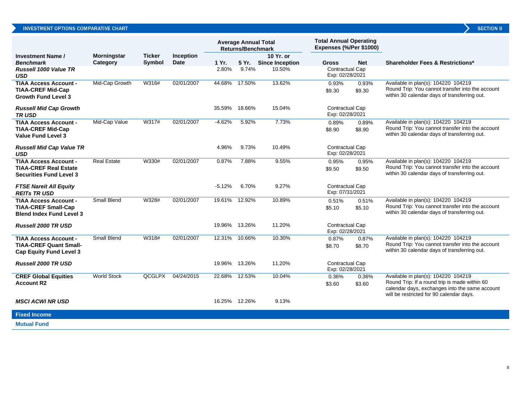|                                                                                                 |                    |               |                  |                | <b>Average Annual Total</b><br><b>Returns/Benchmark</b> |                                  | <b>Total Annual Operating</b><br>Expenses (%/Per \$1000) |                 |                                                                                                                                                                                    |
|-------------------------------------------------------------------------------------------------|--------------------|---------------|------------------|----------------|---------------------------------------------------------|----------------------------------|----------------------------------------------------------|-----------------|------------------------------------------------------------------------------------------------------------------------------------------------------------------------------------|
| <b>Investment Name /</b>                                                                        | <b>Morningstar</b> | <b>Ticker</b> | <b>Inception</b> |                |                                                         | 10 Yr. or                        |                                                          |                 |                                                                                                                                                                                    |
| <b>Benchmark</b><br>Russell 1000 Value TR<br><b>USD</b>                                         | Category           | <b>Symbol</b> | <b>Date</b>      | 1 Yr.<br>2.80% | 5 Yr.<br>9.74%                                          | <b>Since Inception</b><br>10.50% | <b>Gross</b><br>Contractual Cap<br>Exp: 02/28/2021       | <b>Net</b>      | <b>Shareholder Fees &amp; Restrictions*</b>                                                                                                                                        |
| <b>TIAA Access Account -</b><br><b>TIAA-CREF Mid-Cap</b><br><b>Growth Fund Level 3</b>          | Mid-Cap Growth     | W316#         | 02/01/2007       | 44.68%         | 17.50%                                                  | 13.62%                           | 0.93%<br>\$9.30                                          | 0.93%<br>\$9.30 | Available in plan(s): 104220 104219<br>Round Trip: You cannot transfer into the account<br>within 30 calendar days of transferring out.                                            |
| <b>Russell Mid Cap Growth</b><br><b>TRUSD</b>                                                   |                    |               |                  | 35.59%         | 18.66%                                                  | 15.04%                           | Contractual Cap<br>Exp: 02/28/2021                       |                 |                                                                                                                                                                                    |
| <b>TIAA Access Account -</b><br><b>TIAA-CREF Mid-Cap</b><br><b>Value Fund Level 3</b>           | Mid-Cap Value      | W317#         | 02/01/2007       | $-4.62%$       | 5.92%                                                   | 7.73%                            | 0.89%<br>\$8.90                                          | 0.89%<br>\$8.90 | Available in plan(s): 104220 104219<br>Round Trip: You cannot transfer into the account<br>within 30 calendar days of transferring out.                                            |
| <b>Russell Mid Cap Value TR</b><br><b>USD</b>                                                   |                    |               |                  | 4.96%          | 9.73%                                                   | 10.49%                           | Contractual Cap<br>Exp: 02/28/2021                       |                 |                                                                                                                                                                                    |
| <b>TIAA Access Account -</b><br><b>TIAA-CREF Real Estate</b><br><b>Securities Fund Level 3</b>  | <b>Real Estate</b> | W330#         | 02/01/2007       | 0.87%          | 7.88%                                                   | 9.55%                            | 0.95%<br>\$9.50                                          | 0.95%<br>\$9.50 | Available in plan(s): 104220 104219<br>Round Trip: You cannot transfer into the account<br>within 30 calendar days of transferring out.                                            |
| <b>FTSE Nareit All Equity</b><br><b>REITs TRUSD</b>                                             |                    |               |                  | $-5.12%$       | 6.70%                                                   | 9.27%                            | Contractual Cap<br>Exp: 07/31/2021                       |                 |                                                                                                                                                                                    |
| <b>TIAA Access Account -</b><br><b>TIAA-CREF Small-Cap</b><br><b>Blend Index Fund Level 3</b>   | Small Blend        | W328#         | 02/01/2007       | 19.61%         | 12.92%                                                  | 10.89%                           | 0.51%<br>\$5.10                                          | 0.51%<br>\$5.10 | Available in plan(s): 104220 104219<br>Round Trip: You cannot transfer into the account<br>within 30 calendar days of transferring out.                                            |
| <b>Russell 2000 TR USD</b>                                                                      |                    |               |                  | 19.96%         | 13.26%                                                  | 11.20%                           | Contractual Cap<br>Exp: 02/28/2021                       |                 |                                                                                                                                                                                    |
| <b>TIAA Access Account -</b><br><b>TIAA-CREF Quant Small-</b><br><b>Cap Equity Fund Level 3</b> | Small Blend        | W318#         | 02/01/2007       | 12.31%         | 10.66%                                                  | 10.30%                           | 0.87%<br>\$8.70                                          | 0.87%<br>\$8.70 | Available in plan(s): 104220 104219<br>Round Trip: You cannot transfer into the account<br>within 30 calendar days of transferring out.                                            |
| Russell 2000 TR USD                                                                             |                    |               |                  | 19.96%         | 13.26%                                                  | 11.20%                           | Contractual Cap<br>Exp: 02/28/2021                       |                 |                                                                                                                                                                                    |
| <b>CREF Global Equities</b><br><b>Account R2</b>                                                | <b>World Stock</b> | <b>QCGLPX</b> | 04/24/2015       | 22.68%         | 12.53%                                                  | 10.04%                           | 0.36%<br>\$3.60                                          | 0.36%<br>\$3.60 | Available in plan(s): 104220 104219<br>Round Trip: If a round trip is made within 60<br>calendar days, exchanges into the same account<br>will be restricted for 90 calendar days. |
| <b>MSCI ACWI NR USD</b>                                                                         |                    |               |                  |                | 16.25% 12.26%                                           | 9.13%                            |                                                          |                 |                                                                                                                                                                                    |
| <b>Fixed Income</b>                                                                             |                    |               |                  |                |                                                         |                                  |                                                          |                 |                                                                                                                                                                                    |

**Mutual Fund**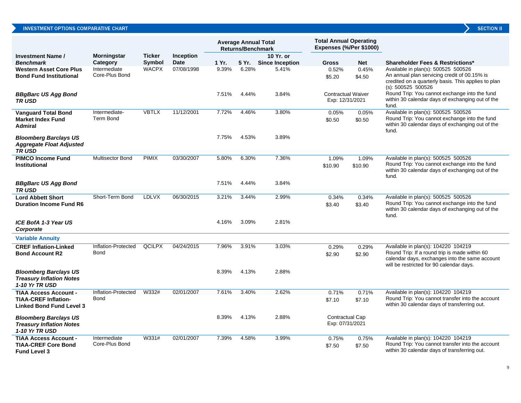| <b>SECTION</b> |  |
|----------------|--|
|                |  |
|                |  |

|                                                                                                |                                |               |                  | <b>Average Annual Total</b><br><b>Returns/Benchmark</b> |       | <b>Total Annual Operating</b><br>Expenses (%/Per \$1000) |                                              |                  |                                                                                                                                                                                    |
|------------------------------------------------------------------------------------------------|--------------------------------|---------------|------------------|---------------------------------------------------------|-------|----------------------------------------------------------|----------------------------------------------|------------------|------------------------------------------------------------------------------------------------------------------------------------------------------------------------------------|
| <b>Investment Name /</b>                                                                       | <b>Morningstar</b>             | <b>Ticker</b> | <b>Inception</b> |                                                         |       | 10 Yr. or                                                |                                              |                  |                                                                                                                                                                                    |
| <b>Benchmark</b>                                                                               | Category                       | Symbol        | <b>Date</b>      | 1 Yr.                                                   |       | 5 Yr. Since Inception                                    | <b>Gross</b>                                 | <b>Net</b>       | <b>Shareholder Fees &amp; Restrictions*</b>                                                                                                                                        |
| <b>Western Asset Core Plus</b><br><b>Bond Fund Institutional</b>                               | Intermediate<br>Core-Plus Bond | <b>WACPX</b>  | 07/08/1998       | 9.39%                                                   | 6.28% | 5.41%                                                    | 0.52%<br>\$5.20                              | 0.45%<br>\$4.50  | Available in plan(s): 500525 500526<br>An annual plan servicing credit of 00.15% is<br>credited on a quarterly basis. This applies to plan<br>$(s)$ : 500525 500526                |
| <b>BBgBarc US Agg Bond</b><br><b>TRUSD</b>                                                     |                                |               |                  | 7.51%                                                   | 4.44% | 3.84%                                                    | <b>Contractual Waiver</b><br>Exp: 12/31/2021 |                  | Round Trip: You cannot exchange into the fund<br>within 30 calendar days of exchanging out of the<br>fund.                                                                         |
| <b>Vanguard Total Bond</b><br><b>Market Index Fund</b><br><b>Admiral</b>                       | Intermediate-<br>Term Bond     | <b>VBTLX</b>  | 11/12/2001       | 7.72%                                                   | 4.46% | 3.80%                                                    | 0.05%<br>\$0.50                              | 0.05%<br>\$0.50  | Available in plan(s): 500525 500526<br>Round Trip: You cannot exchange into the fund<br>within 30 calendar days of exchanging out of the<br>fund.                                  |
| <b>Bloomberg Barclays US</b><br><b>Aggregate Float Adjusted</b><br><b>TRUSD</b>                |                                |               |                  | 7.75%                                                   | 4.53% | 3.89%                                                    |                                              |                  |                                                                                                                                                                                    |
| <b>PIMCO Income Fund</b><br>Institutional                                                      | <b>Multisector Bond</b>        | <b>PIMIX</b>  | 03/30/2007       | 5.80%                                                   | 6.30% | 7.36%                                                    | 1.09%<br>\$10.90                             | 1.09%<br>\$10.90 | Available in plan(s): 500525 500526<br>Round Trip: You cannot exchange into the fund<br>within 30 calendar days of exchanging out of the<br>fund.                                  |
| <b>BBgBarc US Agg Bond</b><br><b>TRUSD</b>                                                     |                                |               |                  | 7.51%                                                   | 4.44% | 3.84%                                                    |                                              |                  |                                                                                                                                                                                    |
| <b>Lord Abbett Short</b><br><b>Duration Income Fund R6</b>                                     | Short-Term Bond                | LDLVX         | 06/30/2015       | 3.21%                                                   | 3.44% | 2.99%                                                    | 0.34%<br>\$3.40                              | 0.34%<br>\$3.40  | Available in plan(s): 500525 500526<br>Round Trip: You cannot exchange into the fund<br>within 30 calendar days of exchanging out of the<br>fund.                                  |
| ICE BofA 1-3 Year US<br>Corporate                                                              |                                |               |                  | 4.16%                                                   | 3.09% | 2.81%                                                    |                                              |                  |                                                                                                                                                                                    |
| <b>Variable Annuity</b>                                                                        |                                |               |                  |                                                         |       |                                                          |                                              |                  |                                                                                                                                                                                    |
| <b>CREF Inflation-Linked</b><br><b>Bond Account R2</b>                                         | Inflation-Protected<br>Bond    | <b>QCILPX</b> | 04/24/2015       | 7.96%                                                   | 3.91% | 3.03%                                                    | 0.29%<br>\$2.90                              | 0.29%<br>\$2.90  | Available in plan(s): 104220 104219<br>Round Trip: If a round trip is made within 60<br>calendar days, exchanges into the same account<br>will be restricted for 90 calendar days. |
| <b>Bloomberg Barclays US</b><br><b>Treasury Inflation Notes</b><br>1-10 Yr TR USD              |                                |               |                  | 8.39%                                                   | 4.13% | 2.88%                                                    |                                              |                  |                                                                                                                                                                                    |
| <b>TIAA Access Account -</b><br><b>TIAA-CREF Inflation-</b><br><b>Linked Bond Fund Level 3</b> | Inflation-Protected<br>Bond    | W332#         | 02/01/2007       | 7.61%                                                   | 3.40% | 2.62%                                                    | 0.71%<br>\$7.10                              | 0.71%<br>\$7.10  | Available in plan(s): 104220 104219<br>Round Trip: You cannot transfer into the account<br>within 30 calendar days of transferring out.                                            |
| <b>Bloomberg Barclays US</b><br><b>Treasury Inflation Notes</b><br><b>1-10 Yr TR USD</b>       |                                |               |                  | 8.39%                                                   | 4.13% | 2.88%                                                    | Contractual Cap<br>Exp: 07/31/2021           |                  |                                                                                                                                                                                    |
| <b>TIAA Access Account -</b><br><b>TIAA-CREF Core Bond</b><br><b>Fund Level 3</b>              | Intermediate<br>Core-Plus Bond | W331#         | 02/01/2007       | 7.39%                                                   | 4.58% | 3.99%                                                    | 0.75%<br>\$7.50                              | 0.75%<br>\$7.50  | Available in plan(s): 104220 104219<br>Round Trip: You cannot transfer into the account<br>within 30 calendar days of transferring out.                                            |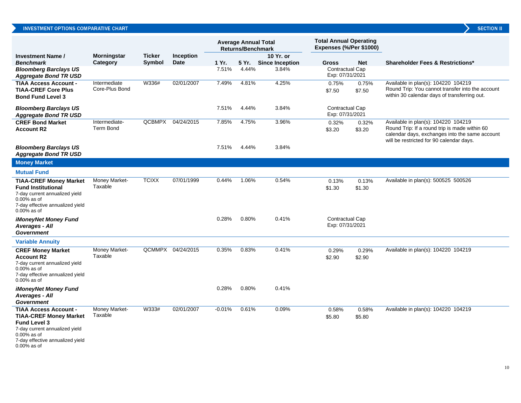#### INVESTMENT OPTIONS COMPARATIVE CHART

|                                                                                                                                                                              |                                   |               |                   |          | <b>Average Annual Total</b><br><b>Returns/Benchmark</b> |                        | <b>Total Annual Operating</b><br>Expenses (%/Per \$1000) |                 |                                                                                                                                                                                    |
|------------------------------------------------------------------------------------------------------------------------------------------------------------------------------|-----------------------------------|---------------|-------------------|----------|---------------------------------------------------------|------------------------|----------------------------------------------------------|-----------------|------------------------------------------------------------------------------------------------------------------------------------------------------------------------------------|
| <b>Investment Name /</b>                                                                                                                                                     | <b>Morningstar</b>                | <b>Ticker</b> | <b>Inception</b>  |          |                                                         | 10 Yr. or              |                                                          |                 |                                                                                                                                                                                    |
| <b>Benchmark</b>                                                                                                                                                             | Category                          | Symbol        | Date              | 1 Yr.    | 5 Yr.                                                   | <b>Since Inception</b> | Gross                                                    | <b>Net</b>      | <b>Shareholder Fees &amp; Restrictions*</b>                                                                                                                                        |
| <b>Bloomberg Barclays US</b><br><b>Aggregate Bond TR USD</b>                                                                                                                 |                                   |               |                   | 7.51%    | 4.44%                                                   | 3.84%                  | <b>Contractual Cap</b><br>Exp: 07/31/2021                |                 |                                                                                                                                                                                    |
| <b>TIAA Access Account -</b><br><b>TIAA-CREF Core Plus</b><br><b>Bond Fund Level 3</b>                                                                                       | Intermediate<br>Core-Plus Bond    | W336#         | 02/01/2007        | 7.49%    | 4.81%                                                   | 4.25%                  | 0.75%<br>\$7.50                                          | 0.75%<br>\$7.50 | Available in plan(s): 104220 104219<br>Round Trip: You cannot transfer into the account<br>within 30 calendar days of transferring out.                                            |
| <b>Bloomberg Barclays US</b><br><b>Aggregate Bond TR USD</b>                                                                                                                 |                                   |               |                   | 7.51%    | 4.44%                                                   | 3.84%                  | <b>Contractual Cap</b><br>Exp: 07/31/2021                |                 |                                                                                                                                                                                    |
| <b>CREF Bond Market</b><br><b>Account R2</b>                                                                                                                                 | Intermediate-<br><b>Term Bond</b> | QCBMPX        | 04/24/2015        | 7.85%    | 4.75%                                                   | 3.96%                  | 0.32%<br>\$3.20                                          | 0.32%<br>\$3.20 | Available in plan(s): 104220 104219<br>Round Trip: If a round trip is made within 60<br>calendar days, exchanges into the same account<br>will be restricted for 90 calendar days. |
| <b>Bloomberg Barclays US</b><br><b>Aggregate Bond TR USD</b>                                                                                                                 |                                   |               |                   | 7.51%    | 4.44%                                                   | 3.84%                  |                                                          |                 |                                                                                                                                                                                    |
| <b>Money Market</b>                                                                                                                                                          |                                   |               |                   |          |                                                         |                        |                                                          |                 |                                                                                                                                                                                    |
| <b>Mutual Fund</b>                                                                                                                                                           |                                   |               |                   |          |                                                         |                        |                                                          |                 |                                                                                                                                                                                    |
| <b>TIAA-CREF Money Market</b><br><b>Fund Institutional</b><br>7-day current annualized yield<br>0.00% as of<br>7-day effective annualized yield<br>$0.00\%$ as of            | Money Market-<br>Taxable          | <b>TCIXX</b>  | 07/01/1999        | 0.44%    | 1.06%                                                   | 0.54%                  | 0.13%<br>\$1.30                                          | 0.13%<br>\$1.30 | Available in plan(s): 500525 500526                                                                                                                                                |
| iMoneyNet Money Fund<br><b>Averages - All</b><br><b>Government</b>                                                                                                           |                                   |               |                   | 0.28%    | 0.80%                                                   | 0.41%                  | Contractual Cap<br>Exp: 07/31/2021                       |                 |                                                                                                                                                                                    |
| <b>Variable Annuity</b>                                                                                                                                                      |                                   |               |                   |          |                                                         |                        |                                                          |                 |                                                                                                                                                                                    |
| <b>CREF Money Market</b><br><b>Account R2</b><br>7-day current annualized yield<br>0.00% as of<br>7-day effective annualized yield<br>$0.00\%$ as of                         | Money Market-<br>Taxable          |               | QCMMPX 04/24/2015 | 0.35%    | 0.83%                                                   | 0.41%                  | 0.29%<br>\$2.90                                          | 0.29%<br>\$2.90 | Available in plan(s): 104220 104219                                                                                                                                                |
| iMoneyNet Money Fund<br><b>Averages - All</b><br>Government                                                                                                                  |                                   |               |                   | 0.28%    | 0.80%                                                   | 0.41%                  |                                                          |                 |                                                                                                                                                                                    |
| <b>TIAA Access Account -</b><br><b>TIAA-CREF Money Market</b><br><b>Fund Level 3</b><br>7-day current annualized yield<br>$0.00\%$ as of<br>7-day effective annualized yield | Money Market-<br>Taxable          | W333#         | 02/01/2007        | $-0.01%$ | 0.61%                                                   | 0.09%                  | 0.58%<br>\$5.80                                          | 0.58%<br>\$5.80 | Available in plan(s): 104220 104219                                                                                                                                                |

0.00% as of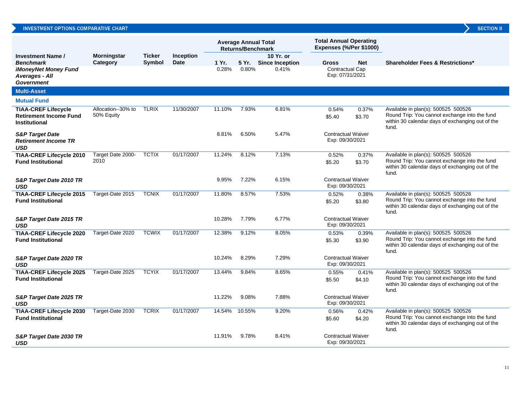#### INVESTMENT OPTIONS COMPARATIVE CHART

|                                                                                     |                                  |                                |                          | <b>Average Annual Total</b><br><b>Returns/Benchmark</b> |        | <b>Total Annual Operating</b><br>Expenses (%/Per \$1000) |                                              |                 |                                                                                                                                                   |
|-------------------------------------------------------------------------------------|----------------------------------|--------------------------------|--------------------------|---------------------------------------------------------|--------|----------------------------------------------------------|----------------------------------------------|-----------------|---------------------------------------------------------------------------------------------------------------------------------------------------|
| <b>Investment Name /</b><br><b>Benchmark</b>                                        | <b>Morningstar</b><br>Category   | <b>Ticker</b><br><b>Symbol</b> | <b>Inception</b><br>Date | 1 Yr.                                                   | 5 Yr.  | 10 Yr. or<br><b>Since Inception</b>                      | <b>Gross</b>                                 | <b>Net</b>      | <b>Shareholder Fees &amp; Restrictions*</b>                                                                                                       |
| iMoneyNet Money Fund<br><b>Averages - All</b><br><b>Government</b>                  |                                  |                                |                          | 0.28%                                                   | 0.80%  | 0.41%                                                    | Contractual Cap<br>Exp: 07/31/2021           |                 |                                                                                                                                                   |
| <b>Multi-Asset</b>                                                                  |                                  |                                |                          |                                                         |        |                                                          |                                              |                 |                                                                                                                                                   |
| <b>Mutual Fund</b>                                                                  |                                  |                                |                          |                                                         |        |                                                          |                                              |                 |                                                                                                                                                   |
| <b>TIAA-CREF Lifecycle</b><br><b>Retirement Income Fund</b><br><b>Institutional</b> | Allocation--30% to<br>50% Equity | <b>TLRIX</b>                   | 11/30/2007               | 11.10%                                                  | 7.93%  | 6.81%                                                    | 0.54%<br>\$5.40                              | 0.37%<br>\$3.70 | Available in plan(s): 500525 500526<br>Round Trip: You cannot exchange into the fund<br>within 30 calendar days of exchanging out of the<br>fund. |
| <b>S&amp;P Target Date</b><br><b>Retirement Income TR</b><br>USD                    |                                  |                                |                          | 8.81%                                                   | 6.50%  | 5.47%                                                    | <b>Contractual Waiver</b><br>Exp: 09/30/2021 |                 |                                                                                                                                                   |
| <b>TIAA-CREF Lifecycle 2010</b><br><b>Fund Institutional</b>                        | Target Date 2000-<br>2010        | <b>TCTIX</b>                   | 01/17/2007               | 11.24%                                                  | 8.12%  | 7.13%                                                    | 0.52%<br>\$5.20                              | 0.37%<br>\$3.70 | Available in plan(s): 500525 500526<br>Round Trip: You cannot exchange into the fund<br>within 30 calendar days of exchanging out of the<br>fund. |
| S&P Target Date 2010 TR<br><b>USD</b>                                               |                                  |                                |                          | 9.95%                                                   | 7.22%  | 6.15%                                                    | <b>Contractual Waiver</b><br>Exp: 09/30/2021 |                 |                                                                                                                                                   |
| <b>TIAA-CREF Lifecycle 2015</b><br><b>Fund Institutional</b>                        | Target-Date 2015                 | <b>TCNIX</b>                   | 01/17/2007               | 11.80%                                                  | 8.57%  | 7.53%                                                    | 0.52%<br>\$5.20                              | 0.38%<br>\$3.80 | Available in plan(s): 500525 500526<br>Round Trip: You cannot exchange into the fund<br>within 30 calendar days of exchanging out of the<br>fund. |
| S&P Target Date 2015 TR<br>USD                                                      |                                  |                                |                          | 10.28%                                                  | 7.79%  | 6.77%                                                    | <b>Contractual Waiver</b><br>Exp: 09/30/2021 |                 |                                                                                                                                                   |
| <b>TIAA-CREF Lifecycle 2020</b><br><b>Fund Institutional</b>                        | Target-Date 2020                 | <b>TCWIX</b>                   | 01/17/2007               | 12.38%                                                  | 9.12%  | 8.05%                                                    | 0.53%<br>\$5.30                              | 0.39%<br>\$3.90 | Available in plan(s): 500525 500526<br>Round Trip: You cannot exchange into the fund<br>within 30 calendar days of exchanging out of the<br>fund. |
| S&P Target Date 2020 TR<br><b>USD</b>                                               |                                  |                                |                          | 10.24%                                                  | 8.29%  | 7.29%                                                    | <b>Contractual Waiver</b><br>Exp: 09/30/2021 |                 |                                                                                                                                                   |
| <b>TIAA-CREF Lifecycle 2025</b><br><b>Fund Institutional</b>                        | Target-Date 2025                 | <b>TCYIX</b>                   | 01/17/2007               | 13.44%                                                  | 9.84%  | 8.65%                                                    | 0.55%<br>\$5.50                              | 0.41%<br>\$4.10 | Available in plan(s): 500525 500526<br>Round Trip: You cannot exchange into the fund<br>within 30 calendar days of exchanging out of the<br>fund. |
| S&P Target Date 2025 TR<br><b>USD</b>                                               |                                  |                                |                          | 11.22%                                                  | 9.08%  | 7.88%                                                    | <b>Contractual Waiver</b><br>Exp: 09/30/2021 |                 |                                                                                                                                                   |
| <b>TIAA-CREF Lifecycle 2030</b><br><b>Fund Institutional</b>                        | Target-Date 2030                 | <b>TCRIX</b>                   | 01/17/2007               | 14.54%                                                  | 10.55% | 9.20%                                                    | 0.56%<br>\$5.60                              | 0.42%<br>\$4.20 | Available in plan(s): 500525 500526<br>Round Trip: You cannot exchange into the fund<br>within 30 calendar days of exchanging out of the<br>fund. |
| S&P Target Date 2030 TR<br><b>USD</b>                                               |                                  |                                |                          | 11.91%                                                  | 9.78%  | 8.41%                                                    | <b>Contractual Waiver</b><br>Exp: 09/30/2021 |                 |                                                                                                                                                   |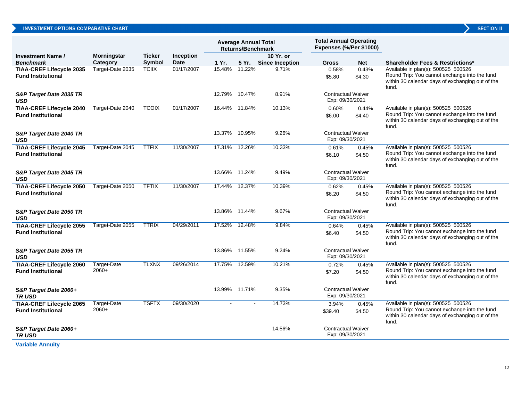|                                                              |                    |               |                  | <b>Average Annual Total</b><br><b>Returns/Benchmark</b> |               | <b>Total Annual Operating</b><br>Expenses (%/Per \$1000) |                                              |                 |                                                                                                                                                   |
|--------------------------------------------------------------|--------------------|---------------|------------------|---------------------------------------------------------|---------------|----------------------------------------------------------|----------------------------------------------|-----------------|---------------------------------------------------------------------------------------------------------------------------------------------------|
| <b>Investment Name /</b>                                     | <b>Morningstar</b> | <b>Ticker</b> | <b>Inception</b> |                                                         |               | 10 Yr. or                                                |                                              |                 |                                                                                                                                                   |
| <b>Benchmark</b>                                             | Category           | Symbol        | <b>Date</b>      | 1 Yr.                                                   |               | 5 Yr. Since Inception                                    | <b>Gross</b>                                 | Net             | <b>Shareholder Fees &amp; Restrictions*</b>                                                                                                       |
| <b>TIAA-CREF Lifecycle 2035</b><br><b>Fund Institutional</b> | Target-Date 2035   | <b>TCIIX</b>  | 01/17/2007       |                                                         | 15.48% 11.22% | 9.71%                                                    | 0.58%<br>\$5.80                              | 0.43%<br>\$4.30 | Available in plan(s): 500525 500526<br>Round Trip: You cannot exchange into the fund<br>within 30 calendar days of exchanging out of the<br>fund. |
| S&P Target Date 2035 TR<br><b>USD</b>                        |                    |               |                  |                                                         | 12.79% 10.47% | 8.91%                                                    | <b>Contractual Waiver</b><br>Exp: 09/30/2021 |                 |                                                                                                                                                   |
| <b>TIAA-CREF Lifecycle 2040</b><br><b>Fund Institutional</b> | Target-Date 2040   | <b>TCOIX</b>  | 01/17/2007       | 16.44%                                                  | 11.84%        | 10.13%                                                   | 0.60%<br>\$6.00                              | 0.44%<br>\$4.40 | Available in plan(s): 500525 500526<br>Round Trip: You cannot exchange into the fund<br>within 30 calendar days of exchanging out of the<br>fund. |
| S&P Target Date 2040 TR<br>USD                               |                    |               |                  | 13.37%                                                  | 10.95%        | 9.26%                                                    | <b>Contractual Waiver</b><br>Exp: 09/30/2021 |                 |                                                                                                                                                   |
| <b>TIAA-CREF Lifecycle 2045</b>                              | Target-Date 2045   | <b>TTFIX</b>  | 11/30/2007       |                                                         | 17.31% 12.26% | 10.33%                                                   | 0.61%                                        | 0.45%           | Available in plan(s): 500525 500526                                                                                                               |
| <b>Fund Institutional</b>                                    |                    |               |                  |                                                         |               |                                                          | \$6.10                                       | \$4.50          | Round Trip: You cannot exchange into the fund<br>within 30 calendar days of exchanging out of the<br>fund.                                        |
| S&P Target Date 2045 TR<br><b>USD</b>                        |                    |               |                  |                                                         | 13.66% 11.24% | 9.49%                                                    | <b>Contractual Waiver</b><br>Exp: 09/30/2021 |                 |                                                                                                                                                   |
| <b>TIAA-CREF Lifecycle 2050</b><br><b>Fund Institutional</b> | Target-Date 2050   | <b>TFTIX</b>  | 11/30/2007       | 17.44%                                                  | 12.37%        | 10.39%                                                   | 0.62%<br>\$6.20                              | 0.45%<br>\$4.50 | Available in plan(s): 500525 500526<br>Round Trip: You cannot exchange into the fund<br>within 30 calendar days of exchanging out of the<br>fund. |
| S&P Target Date 2050 TR<br>USD                               |                    |               |                  |                                                         | 13.86% 11.44% | 9.67%                                                    | <b>Contractual Waiver</b><br>Exp: 09/30/2021 |                 |                                                                                                                                                   |
| <b>TIAA-CREF Lifecycle 2055</b>                              | Target-Date 2055   | <b>TTRIX</b>  | 04/29/2011       | 17.52%                                                  | 12.48%        | 9.84%                                                    | 0.64%                                        | 0.45%           | Available in plan(s): 500525 500526                                                                                                               |
| <b>Fund Institutional</b>                                    |                    |               |                  |                                                         |               |                                                          | \$6.40                                       | \$4.50          | Round Trip: You cannot exchange into the fund<br>within 30 calendar days of exchanging out of the<br>fund.                                        |
| S&P Target Date 2055 TR<br>USD                               |                    |               |                  |                                                         | 13.86% 11.55% | 9.24%                                                    | <b>Contractual Waiver</b><br>Exp: 09/30/2021 |                 |                                                                                                                                                   |
| <b>TIAA-CREF Lifecycle 2060</b>                              | Target-Date        | <b>TLXNX</b>  | 09/26/2014       | 17.75%                                                  | 12.59%        | 10.21%                                                   | 0.72%                                        | 0.45%           | Available in plan(s): 500525 500526                                                                                                               |
| <b>Fund Institutional</b>                                    | $2060+$            |               |                  |                                                         |               |                                                          | \$7.20                                       | \$4.50          | Round Trip: You cannot exchange into the fund<br>within 30 calendar days of exchanging out of the<br>fund.                                        |
| S&P Target Date 2060+<br><b>TRUSD</b>                        |                    |               |                  |                                                         | 13.99% 11.71% | 9.35%                                                    | <b>Contractual Waiver</b><br>Exp: 09/30/2021 |                 |                                                                                                                                                   |
| <b>TIAA-CREF Lifecycle 2065</b>                              | Target-Date        | <b>TSFTX</b>  | 09/30/2020       |                                                         |               | 14.73%                                                   | 3.94%                                        | 0.45%           | Available in plan(s): 500525 500526                                                                                                               |
| <b>Fund Institutional</b>                                    | $2060+$            |               |                  |                                                         |               |                                                          | \$39.40                                      | \$4.50          | Round Trip: You cannot exchange into the fund<br>within 30 calendar days of exchanging out of the<br>fund.                                        |
| S&P Target Date 2060+<br><b>TRUSD</b>                        |                    |               |                  |                                                         |               | 14.56%                                                   | <b>Contractual Waiver</b><br>Exp: 09/30/2021 |                 |                                                                                                                                                   |
| <b>Variable Annuity</b>                                      |                    |               |                  |                                                         |               |                                                          |                                              |                 |                                                                                                                                                   |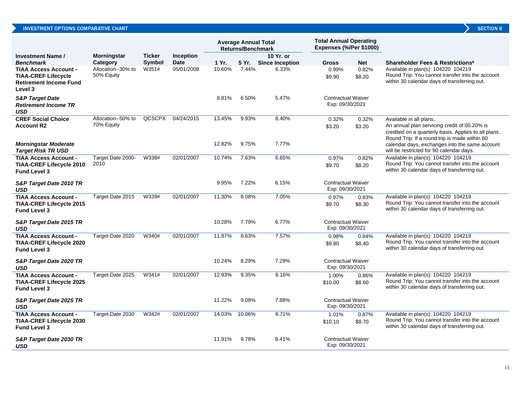|                                                                                                        |                                  |               |                  | <b>Average Annual Total</b><br><b>Returns/Benchmark</b> |        | <b>Total Annual Operating</b><br>Expenses (%/Per \$1000) |                                              |                 |                                                                                                                                                                                                         |
|--------------------------------------------------------------------------------------------------------|----------------------------------|---------------|------------------|---------------------------------------------------------|--------|----------------------------------------------------------|----------------------------------------------|-----------------|---------------------------------------------------------------------------------------------------------------------------------------------------------------------------------------------------------|
| <b>Investment Name /</b>                                                                               | Morningstar                      | <b>Ticker</b> | <b>Inception</b> |                                                         |        | 10 Yr. or                                                |                                              |                 |                                                                                                                                                                                                         |
| <b>Benchmark</b>                                                                                       | Category                         | <b>Symbol</b> | Date             | 1 Yr.                                                   | 5 Yr.  | <b>Since Inception</b>                                   | <b>Gross</b>                                 | <b>Net</b>      | <b>Shareholder Fees &amp; Restrictions*</b>                                                                                                                                                             |
| <b>TIAA Access Account -</b><br><b>TIAA-CREF Lifecycle</b><br><b>Retirement Income Fund</b><br>Level 3 | Allocation--30% to<br>50% Equity | W351#         | 05/01/2008       | 10.60%                                                  | 7.44%  | 6.33%                                                    | 0.99%<br>\$9.90                              | 0.82%<br>\$8.20 | Available in plan(s): 104220 104219<br>Round Trip: You cannot transfer into the account<br>within 30 calendar days of transferring out.                                                                 |
| <b>S&amp;P Target Date</b><br><b>Retirement Income TR</b><br>USD                                       |                                  |               |                  | 8.81%                                                   | 6.50%  | 5.47%                                                    | <b>Contractual Waiver</b><br>Exp: 09/30/2021 |                 |                                                                                                                                                                                                         |
| <b>CREF Social Choice</b>                                                                              | Allocation--50% to               | QCSCPX        | 04/24/2015       | 13.45%                                                  | 9.93%  | 8.40%                                                    | 0.32%                                        | 0.32%           | Available in all plans.                                                                                                                                                                                 |
| Account R2<br>Morningstar Moderate                                                                     | 70% Equity                       |               |                  | 12.82%                                                  | 9.75%  | 7.77%                                                    | \$3.20                                       | \$3.20          | An annual plan servicing credit of 00.20% is<br>credited on a quarterly basis. Applies to all plans.<br>Round Trip: If a round trip is made within 60<br>calendar days, exchanges into the same account |
| <b>Target Risk TR USD</b>                                                                              |                                  |               |                  |                                                         |        |                                                          |                                              |                 | will be restricted for 90 calendar days.                                                                                                                                                                |
| <b>TIAA Access Account -</b><br><b>TIAA-CREF Lifecycle 2010</b><br><b>Fund Level 3</b>                 | Target Date 2000-<br>2010        | W338#         | 02/01/2007       | 10.74%                                                  | 7.63%  | 6.65%                                                    | 0.97%<br>\$9.70                              | 0.82%<br>\$8.20 | Available in plan(s): 104220 104219<br>Round Trip: You cannot transfer into the account<br>within 30 calendar days of transferring out.                                                                 |
| S&P Target Date 2010 TR<br>USD                                                                         |                                  |               |                  | 9.95%                                                   | 7.22%  | 6.15%                                                    | <b>Contractual Waiver</b><br>Exp: 09/30/2021 |                 |                                                                                                                                                                                                         |
| <b>TIAA Access Account -</b><br><b>TIAA-CREF Lifecycle 2015</b><br><b>Fund Level 3</b>                 | Target-Date 2015                 | W339#         | 02/01/2007       | 11.30%                                                  | 8.08%  | 7.05%                                                    | 0.97%<br>\$9.70                              | 0.83%<br>\$8.30 | Available in plan(s): 104220 104219<br>Round Trip: You cannot transfer into the account<br>within 30 calendar days of transferring out.                                                                 |
| S&P Target Date 2015 TR<br>USD                                                                         |                                  |               |                  | 10.28%                                                  | 7.79%  | 6.77%                                                    | <b>Contractual Waiver</b><br>Exp: 09/30/2021 |                 |                                                                                                                                                                                                         |
| <b>TIAA Access Account -</b>                                                                           | Target-Date 2020                 | W340#         | 02/01/2007       | 11.87%                                                  | 8.63%  | 7.57%                                                    | 0.98%                                        | 0.84%           | Available in plan(s): 104220 104219                                                                                                                                                                     |
| <b>TIAA-CREF Lifecycle 2020</b><br><b>Fund Level 3</b>                                                 |                                  |               |                  |                                                         |        |                                                          | \$9.80                                       | \$8.40          | Round Trip: You cannot transfer into the account<br>within 30 calendar days of transferring out.                                                                                                        |
| S&P Target Date 2020 TR<br>USD                                                                         |                                  |               |                  | 10.24%                                                  | 8.29%  | 7.29%                                                    | <b>Contractual Waiver</b><br>Exp: 09/30/2021 |                 |                                                                                                                                                                                                         |
| <b>TIAA Access Account -</b>                                                                           | Target-Date 2025                 | W341#         | 02/01/2007       | 12.93%                                                  | 9.35%  | 8.16%                                                    | 1.00%                                        | 0.86%           | Available in plan(s): 104220 104219                                                                                                                                                                     |
| <b>TIAA-CREF Lifecycle 2025</b><br><b>Fund Level 3</b>                                                 |                                  |               |                  |                                                         |        |                                                          | \$10.00                                      | \$8.60          | Round Trip: You cannot transfer into the account<br>within 30 calendar days of transferring out.                                                                                                        |
| S&P Target Date 2025 TR<br>USD                                                                         |                                  |               |                  | 11.22%                                                  | 9.08%  | 7.88%                                                    | <b>Contractual Waiver</b><br>Exp: 09/30/2021 |                 |                                                                                                                                                                                                         |
| <b>TIAA Access Account -</b>                                                                           | Target-Date 2030                 | W342#         | 02/01/2007       | 14.03%                                                  | 10.06% | 8.71%                                                    | 1.01%                                        | 0.87%           | Available in plan(s): 104220 104219                                                                                                                                                                     |
| <b>TIAA-CREF Lifecycle 2030</b><br><b>Fund Level 3</b>                                                 |                                  |               |                  |                                                         |        |                                                          | \$10.10                                      | \$8.70          | Round Trip: You cannot transfer into the account<br>within 30 calendar days of transferring out.                                                                                                        |
| S&P Target Date 2030 TR<br>USD                                                                         |                                  |               |                  | 11.91%                                                  | 9.78%  | 8.41%                                                    | <b>Contractual Waiver</b><br>Exp: 09/30/2021 |                 |                                                                                                                                                                                                         |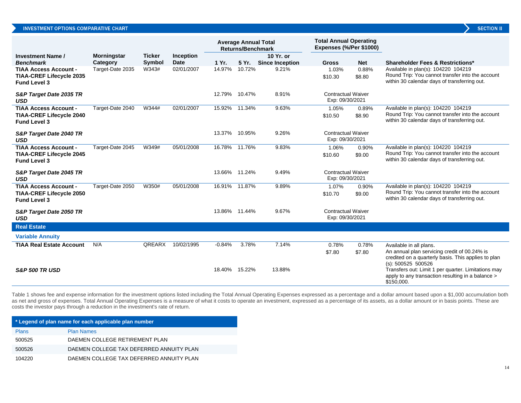|                                                        |                    |               |             | <b>Average Annual Total</b><br><b>Returns/Benchmark</b> |               |                        | <b>Total Annual Operating</b><br><b>Expenses (%/Per \$1000)</b> |            |                                                                                                                              |
|--------------------------------------------------------|--------------------|---------------|-------------|---------------------------------------------------------|---------------|------------------------|-----------------------------------------------------------------|------------|------------------------------------------------------------------------------------------------------------------------------|
| Investment Name /                                      | <b>Morningstar</b> | <b>Ticker</b> | Inception   |                                                         |               | 10 Yr. or              |                                                                 |            |                                                                                                                              |
| <b>Benchmark</b>                                       | Category           | <b>Symbol</b> | <b>Date</b> | 1 Yr.                                                   | 5 Yr.         | <b>Since Inception</b> | <b>Gross</b>                                                    | <b>Net</b> | <b>Shareholder Fees &amp; Restrictions*</b>                                                                                  |
| <b>TIAA Access Account -</b>                           | Target-Date 2035   | W343#         | 02/01/2007  | 14.97%                                                  | 10.72%        | 9.21%                  | 1.03%                                                           | 0.88%      | Available in plan(s): 104220 104219                                                                                          |
| TIAA-CREF Lifecycle 2035<br><b>Fund Level 3</b>        |                    |               |             |                                                         |               |                        | \$10.30                                                         | \$8.80     | Round Trip: You cannot transfer into the account<br>within 30 calendar days of transferring out.                             |
| S&P Target Date 2035 TR<br><b>USD</b>                  |                    |               |             | 12.79%                                                  | 10.47%        | 8.91%                  | <b>Contractual Waiver</b><br>Exp: 09/30/2021                    |            |                                                                                                                              |
| <b>TIAA Access Account -</b>                           | Target-Date 2040   | W344#         | 02/01/2007  |                                                         | 15.92% 11.34% | 9.63%                  | 1.05%                                                           | 0.89%      | Available in plan(s): 104220 104219                                                                                          |
| <b>TIAA-CREF Lifecycle 2040</b><br><b>Fund Level 3</b> |                    |               |             |                                                         |               |                        | \$10.50                                                         | \$8.90     | Round Trip: You cannot transfer into the account<br>within 30 calendar days of transferring out.                             |
| S&P Target Date 2040 TR<br><b>USD</b>                  |                    |               |             | 13.37%                                                  | 10.95%        | 9.26%                  | <b>Contractual Waiver</b><br>Exp: 09/30/2021                    |            |                                                                                                                              |
| <b>TIAA Access Account -</b>                           | Target-Date 2045   | W349#         | 05/01/2008  |                                                         | 16.78% 11.76% | 9.83%                  | 1.06%                                                           | 0.90%      | Available in plan(s): 104220 104219                                                                                          |
| TIAA-CREF Lifecycle 2045<br><b>Fund Level 3</b>        |                    |               |             |                                                         |               |                        | \$10.60                                                         | \$9.00     | Round Trip: You cannot transfer into the account<br>within 30 calendar days of transferring out.                             |
| S&P Target Date 2045 TR<br><b>USD</b>                  |                    |               |             |                                                         | 13.66% 11.24% | 9.49%                  | <b>Contractual Waiver</b><br>Exp: 09/30/2021                    |            |                                                                                                                              |
| <b>TIAA Access Account -</b>                           | Target-Date 2050   | W350#         | 05/01/2008  |                                                         | 16.91% 11.87% | 9.89%                  | 1.07%                                                           | 0.90%      | Available in plan(s): 104220 104219                                                                                          |
| TIAA-CREF Lifecycle 2050<br><b>Fund Level 3</b>        |                    |               |             |                                                         |               |                        | \$10.70                                                         | \$9.00     | Round Trip: You cannot transfer into the account<br>within 30 calendar days of transferring out.                             |
| S&P Target Date 2050 TR<br><b>USD</b>                  |                    |               |             |                                                         | 13.86% 11.44% | 9.67%                  | <b>Contractual Waiver</b><br>Exp: 09/30/2021                    |            |                                                                                                                              |
| <b>Real Estate</b>                                     |                    |               |             |                                                         |               |                        |                                                                 |            |                                                                                                                              |
| <b>Variable Annuity</b>                                |                    |               |             |                                                         |               |                        |                                                                 |            |                                                                                                                              |
| TIAA Real Estate Account                               | N/A                | <b>QREARX</b> | 10/02/1995  | $-0.84%$                                                | 3.78%         | 7.14%                  | 0.78%                                                           | 0.78%      | Available in all plans.                                                                                                      |
|                                                        |                    |               |             |                                                         |               |                        | \$7.80                                                          | \$7.80     | An annual plan servicing credit of 00.24% is<br>credited on a quarterly basis. This applies to plan<br>$(s)$ : 500525 500526 |
| <b>S&amp;P 500 TR USD</b>                              |                    |               |             |                                                         | 18.40% 15.22% | 13.88%                 |                                                                 |            | Transfers out: Limit 1 per quarter. Limitations may<br>apply to any transaction resulting in a balance ><br>\$150,000.       |

Table 1 shows fee and expense information for the investment options listed including the Total Annual Operating Expenses expressed as a percentage and a dollar amount based upon a \$1,000 accumulation both as net and gross of expenses. Total Annual Operating Expenses is a measure of what it costs to operate an investment, expressed as a percentage of its assets, as a dollar amount or in basis points. These are costs the investor pays through a reduction in the investment's rate of return.

| * Legend of plan name for each applicable plan number |                                          |  |  |  |  |
|-------------------------------------------------------|------------------------------------------|--|--|--|--|
| <b>Plans</b>                                          | <b>Plan Names</b>                        |  |  |  |  |
| 500525                                                | DAEMEN COLLEGE RETIREMENT PLAN           |  |  |  |  |
| 500526                                                | DAEMEN COLLEGE TAX DEFERRED ANNUITY PLAN |  |  |  |  |
| 104220                                                | DAEMEN COLLEGE TAX DEFERRED ANNUITY PLAN |  |  |  |  |

14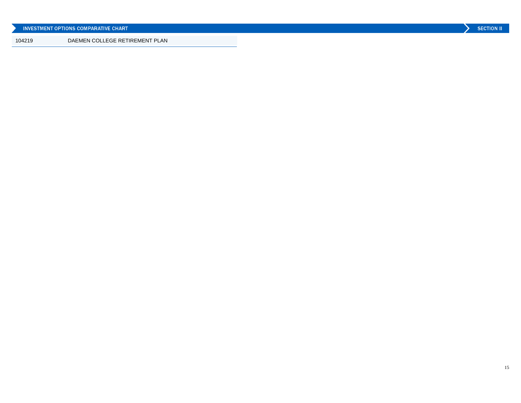|        | NUESTMENT OPTIONS COMPARATIVE CHART | <b>SECTION II</b> |  |
|--------|-------------------------------------|-------------------|--|
| 104219 | DAEMEN COLLEGE RETIREMENT PLAN      |                   |  |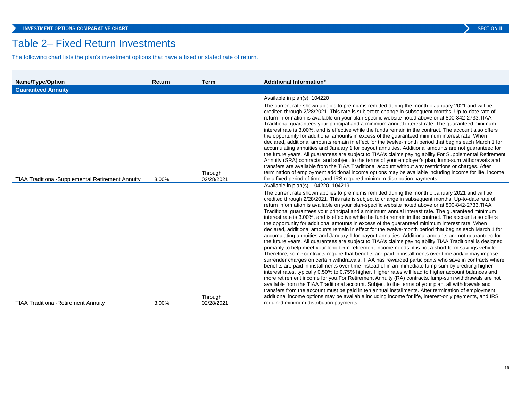## Table 2– Fixed Return Investments

The following chart lists the plan's investment options that have a fixed or stated rate of return.

| <b>Guaranteed Annuity</b>                                        |                       |                                                                                                                                                                                                                                                                                                                                                                                                                                                                                                                                                                                                                                                                                                                                                                                                                                                                                                                                                                                                                                                                                                                                                                                                                                                                                                                                                                                                                                                                                                                                                                                                                                                                                                                                                                                                                                                                                                                                                                                                                            |
|------------------------------------------------------------------|-----------------------|----------------------------------------------------------------------------------------------------------------------------------------------------------------------------------------------------------------------------------------------------------------------------------------------------------------------------------------------------------------------------------------------------------------------------------------------------------------------------------------------------------------------------------------------------------------------------------------------------------------------------------------------------------------------------------------------------------------------------------------------------------------------------------------------------------------------------------------------------------------------------------------------------------------------------------------------------------------------------------------------------------------------------------------------------------------------------------------------------------------------------------------------------------------------------------------------------------------------------------------------------------------------------------------------------------------------------------------------------------------------------------------------------------------------------------------------------------------------------------------------------------------------------------------------------------------------------------------------------------------------------------------------------------------------------------------------------------------------------------------------------------------------------------------------------------------------------------------------------------------------------------------------------------------------------------------------------------------------------------------------------------------------------|
|                                                                  |                       |                                                                                                                                                                                                                                                                                                                                                                                                                                                                                                                                                                                                                                                                                                                                                                                                                                                                                                                                                                                                                                                                                                                                                                                                                                                                                                                                                                                                                                                                                                                                                                                                                                                                                                                                                                                                                                                                                                                                                                                                                            |
| <b>TIAA Traditional-Supplemental Retirement Annuity</b><br>3.00% | Through<br>02/28/2021 | Available in plan(s): 104220<br>The current rate shown applies to premiums remitted during the month of January 2021 and will be<br>credited through 2/28/2021. This rate is subject to change in subsequent months. Up-to-date rate of<br>return information is available on your plan-specific website noted above or at 800-842-2733. TIAA<br>Traditional guarantees your principal and a minimum annual interest rate. The guaranteed minimum<br>interest rate is 3.00%, and is effective while the funds remain in the contract. The account also offers<br>the opportunity for additional amounts in excess of the guaranteed minimum interest rate. When<br>declared, additional amounts remain in effect for the twelve-month period that begins each March 1 for<br>accumulating annuities and January 1 for payout annuities. Additional amounts are not guaranteed for<br>the future years. All guarantees are subject to TIAA's claims paying ability. For Supplemental Retirement<br>Annuity (SRA) contracts, and subject to the terms of your employer's plan, lump-sum withdrawals and<br>transfers are available from the TIAA Traditional account without any restrictions or charges. After<br>termination of employment additional income options may be available including income for life, income<br>for a fixed period of time, and IRS required minimum distribution payments.                                                                                                                                                                                                                                                                                                                                                                                                                                                                                                                                                                                                                     |
|                                                                  | Through               | Available in plan(s): 104220 104219<br>The current rate shown applies to premiums remitted during the month of January 2021 and will be<br>credited through 2/28/2021. This rate is subject to change in subsequent months. Up-to-date rate of<br>return information is available on your plan-specific website noted above or at 800-842-2733. TIAA<br>Traditional guarantees your principal and a minimum annual interest rate. The guaranteed minimum<br>interest rate is 3.00%, and is effective while the funds remain in the contract. The account also offers<br>the opportunity for additional amounts in excess of the guaranteed minimum interest rate. When<br>declared, additional amounts remain in effect for the twelve-month period that begins each March 1 for<br>accumulating annuities and January 1 for payout annuities. Additional amounts are not guaranteed for<br>the future years. All guarantees are subject to TIAA's claims paying ability. TIAA Traditional is designed<br>primarily to help meet your long-term retirement income needs; it is not a short-term savings vehicle.<br>Therefore, some contracts require that benefits are paid in installments over time and/or may impose<br>surrender charges on certain withdrawals. TIAA has rewarded participants who save in contracts where<br>benefits are paid in installments over time instead of in an immediate lump-sum by crediting higher<br>interest rates, typically 0.50% to 0.75% higher. Higher rates will lead to higher account balances and<br>more retirement income for you. For Retirement Annuity (RA) contracts, lump-sum withdrawals are not<br>available from the TIAA Traditional account. Subject to the terms of your plan, all withdrawals and<br>transfers from the account must be paid in ten annual installments. After termination of employment<br>additional income options may be available including income for life, interest-only payments, and IRS<br>required minimum distribution payments. |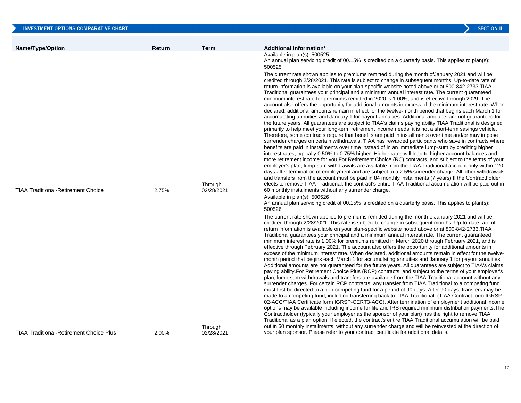| <b>INVESTMENT OPTIONS COMPARATIVE CHART</b>    |        |             | <b>SECTION II</b>                                                                                                                                                                                                                                                                                                                                                                                                                                                                                                                                                                                                                                                                                                                                                                                                                                                                                                                                                                                                                                                                                                                                                                                                                                                                                                                                                                                                                                                                                                                                                                                                                                                                                                                                                                                                                                                                                                                                                                                                                                                 |
|------------------------------------------------|--------|-------------|-------------------------------------------------------------------------------------------------------------------------------------------------------------------------------------------------------------------------------------------------------------------------------------------------------------------------------------------------------------------------------------------------------------------------------------------------------------------------------------------------------------------------------------------------------------------------------------------------------------------------------------------------------------------------------------------------------------------------------------------------------------------------------------------------------------------------------------------------------------------------------------------------------------------------------------------------------------------------------------------------------------------------------------------------------------------------------------------------------------------------------------------------------------------------------------------------------------------------------------------------------------------------------------------------------------------------------------------------------------------------------------------------------------------------------------------------------------------------------------------------------------------------------------------------------------------------------------------------------------------------------------------------------------------------------------------------------------------------------------------------------------------------------------------------------------------------------------------------------------------------------------------------------------------------------------------------------------------------------------------------------------------------------------------------------------------|
|                                                |        |             |                                                                                                                                                                                                                                                                                                                                                                                                                                                                                                                                                                                                                                                                                                                                                                                                                                                                                                                                                                                                                                                                                                                                                                                                                                                                                                                                                                                                                                                                                                                                                                                                                                                                                                                                                                                                                                                                                                                                                                                                                                                                   |
| Name/Type/Option                               | Return | <b>Term</b> | <b>Additional Information*</b><br>Available in plan(s): 500525<br>An annual plan servicing credit of 00.15% is credited on a quarterly basis. This applies to plan(s):<br>500525                                                                                                                                                                                                                                                                                                                                                                                                                                                                                                                                                                                                                                                                                                                                                                                                                                                                                                                                                                                                                                                                                                                                                                                                                                                                                                                                                                                                                                                                                                                                                                                                                                                                                                                                                                                                                                                                                  |
|                                                |        | Through     | The current rate shown applies to premiums remitted during the month of January 2021 and will be<br>credited through 2/28/2021. This rate is subject to change in subsequent months. Up-to-date rate of<br>return information is available on your plan-specific website noted above or at 800-842-2733. TIAA<br>Traditional guarantees your principal and a minimum annual interest rate. The current guaranteed<br>minimum interest rate for premiums remitted in 2020 is 1.00%, and is effective through 2029. The<br>account also offers the opportunity for additional amounts in excess of the minimum interest rate. When<br>declared, additional amounts remain in effect for the twelve-month period that begins each March 1 for<br>accumulating annuities and January 1 for payout annuities. Additional amounts are not guaranteed for<br>the future years. All guarantees are subject to TIAA's claims paying ability. TIAA Traditional is designed<br>primarily to help meet your long-term retirement income needs; it is not a short-term savings vehicle.<br>Therefore, some contracts require that benefits are paid in installments over time and/or may impose<br>surrender charges on certain withdrawals. TIAA has rewarded participants who save in contracts where<br>benefits are paid in installments over time instead of in an immediate lump-sum by crediting higher<br>interest rates, typically 0.50% to 0.75% higher. Higher rates will lead to higher account balances and<br>more retirement income for you. For Retirement Choice (RC) contracts, and subject to the terms of your<br>employer's plan, lump-sum withdrawals are available from the TIAA Traditional account only within 120<br>days after termination of employment and are subject to a 2.5% surrender charge. All other withdrawals<br>and transfers from the account must be paid in 84 monthly installments (7 years). If the Contractholder<br>elects to remove TIAA Traditional, the contract's entire TIAA Traditional accumulation will be paid out in |
| <b>TIAA Traditional-Retirement Choice</b>      | 2.75%  | 02/28/2021  | 60 monthly installments without any surrender charge.<br>Available in plan(s): 500526<br>An annual plan servicing credit of 00.15% is credited on a quarterly basis. This applies to plan(s):                                                                                                                                                                                                                                                                                                                                                                                                                                                                                                                                                                                                                                                                                                                                                                                                                                                                                                                                                                                                                                                                                                                                                                                                                                                                                                                                                                                                                                                                                                                                                                                                                                                                                                                                                                                                                                                                     |
|                                                |        | Through     | 500526<br>The current rate shown applies to premiums remitted during the month of January 2021 and will be<br>credited through 2/28/2021. This rate is subject to change in subsequent months. Up-to-date rate of<br>return information is available on your plan-specific website noted above or at 800-842-2733. TIAA<br>Traditional quarantees your principal and a minimum annual interest rate. The current quaranteed<br>minimum interest rate is 1.00% for premiums remitted in March 2020 through February 2021, and is<br>effective through February 2021. The account also offers the opportunity for additional amounts in<br>excess of the minimum interest rate. When declared, additional amounts remain in effect for the twelve-<br>month period that begins each March 1 for accumulating annuities and January 1 for payout annuities.<br>Additional amounts are not guaranteed for the future years. All guarantees are subject to TIAA's claims<br>paying ability.For Retirement Choice Plus (RCP) contracts, and subject to the terms of your employer's<br>plan, lump-sum withdrawals and transfers are available from the TIAA Traditional account without any<br>surrender charges. For certain RCP contracts, any transfer from TIAA Traditional to a competing fund<br>must first be directed to a non-competing fund for a period of 90 days. After 90 days, transfers may be<br>made to a competing fund, including transferring back to TIAA Traditional. (TIAA Contract form IGRSP-<br>02-ACC/TIAA Certificate form IGRSP-CERT3-ACC). After termination of employment additional income<br>options may be available including income for life and IRS required minimum distribution payments. The<br>Contractholder (typically your employer as the sponsor of your plan) has the right to remove TIAA<br>Traditional as a plan option. If elected, the contract's entire TIAA Traditional accumulation will be paid<br>out in 60 monthly installments, without any surrender charge and will be reinvested at the direction of     |
| <b>TIAA Traditional-Retirement Choice Plus</b> | 2.00%  | 02/28/2021  | your plan sponsor. Please refer to your contract certificate for additional details.                                                                                                                                                                                                                                                                                                                                                                                                                                                                                                                                                                                                                                                                                                                                                                                                                                                                                                                                                                                                                                                                                                                                                                                                                                                                                                                                                                                                                                                                                                                                                                                                                                                                                                                                                                                                                                                                                                                                                                              |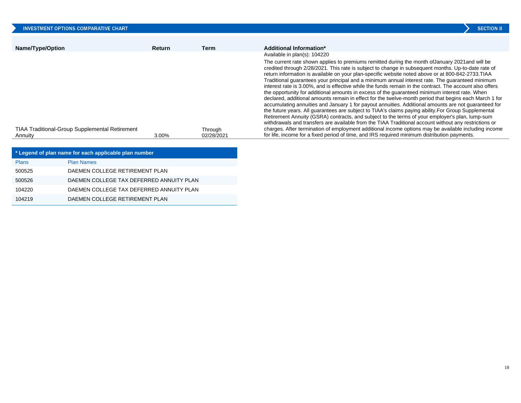| INVESTMENT OPTIONS COMPARATIVE CHART                  |               |            | <b>SECTION II</b>                                                                                                                                                                                                                                                                                                                                                                                                                                                                                                                                                                                                                                                                                                                                                                                                                                                                                                                                                                                                                                                                                                                                                     |
|-------------------------------------------------------|---------------|------------|-----------------------------------------------------------------------------------------------------------------------------------------------------------------------------------------------------------------------------------------------------------------------------------------------------------------------------------------------------------------------------------------------------------------------------------------------------------------------------------------------------------------------------------------------------------------------------------------------------------------------------------------------------------------------------------------------------------------------------------------------------------------------------------------------------------------------------------------------------------------------------------------------------------------------------------------------------------------------------------------------------------------------------------------------------------------------------------------------------------------------------------------------------------------------|
| Name/Type/Option                                      | <b>Return</b> | Term       | Additional Information*                                                                                                                                                                                                                                                                                                                                                                                                                                                                                                                                                                                                                                                                                                                                                                                                                                                                                                                                                                                                                                                                                                                                               |
|                                                       |               |            | Available in plan(s): 104220                                                                                                                                                                                                                                                                                                                                                                                                                                                                                                                                                                                                                                                                                                                                                                                                                                                                                                                                                                                                                                                                                                                                          |
|                                                       |               |            | The current rate shown applies to premiums remitted during the month of January 2021 and will be<br>credited through 2/28/2021. This rate is subject to change in subsequent months. Up-to-date rate of<br>return information is available on your plan-specific website noted above or at 800-842-2733. TIAA<br>Traditional quarantees your principal and a minimum annual interest rate. The quaranteed minimum<br>interest rate is 3.00%, and is effective while the funds remain in the contract. The account also offers<br>the opportunity for additional amounts in excess of the quaranteed minimum interest rate. When<br>declared, additional amounts remain in effect for the twelve-month period that begins each March 1 for<br>accumulating annuities and January 1 for payout annuities. Additional amounts are not guaranteed for<br>the future years. All guarantees are subject to TIAA's claims paying ability. For Group Supplemental<br>Retirement Annuity (GSRA) contracts, and subject to the terms of your employer's plan, lump-sum<br>withdrawals and transfers are available from the TIAA Traditional account without any restrictions or |
| <b>TIAA Traditional-Group Supplemental Retirement</b> |               | Through    | charges. After termination of employment additional income options may be available including income                                                                                                                                                                                                                                                                                                                                                                                                                                                                                                                                                                                                                                                                                                                                                                                                                                                                                                                                                                                                                                                                  |
| Annuity                                               | 3.00%         | 02/28/2021 | for life, income for a fixed period of time, and IRS required minimum distribution payments.                                                                                                                                                                                                                                                                                                                                                                                                                                                                                                                                                                                                                                                                                                                                                                                                                                                                                                                                                                                                                                                                          |

| * Legend of plan name for each applicable plan number |                                          |  |  |  |  |
|-------------------------------------------------------|------------------------------------------|--|--|--|--|
| <b>Plans</b>                                          | <b>Plan Names</b>                        |  |  |  |  |
| 500525                                                | DAEMEN COLLEGE RETIREMENT PLAN           |  |  |  |  |
| 500526                                                | DAEMEN COLLEGE TAX DEFERRED ANNUITY PLAN |  |  |  |  |
| 104220                                                | DAEMEN COLLEGE TAX DEFERRED ANNUITY PLAN |  |  |  |  |
| 104219                                                | DAEMEN COLLEGE RETIREMENT PLAN           |  |  |  |  |

18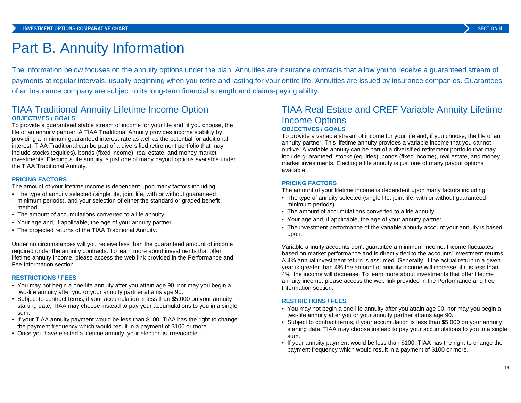# Part B. Annuity Information

The information below focuses on the annuity options under the plan. Annuities are insurance contracts that allow you to receive a guaranteed stream of payments at regular intervals, usually beginning when you retire and lasting for your entire life. Annuities are issued by insurance companies. Guarantees of an insurance company are subject to its long-term financial strength and claims-paying ability.

### TIAA Traditional Annuity Lifetime Income Option **OBJECTIVES / GOALS**

To provide a guaranteed stable stream of income for your life and, if you choose, the life of an annuity partner. A TIAA Traditional Annuity provides income stability by providing a minimum guaranteed interest rate as well as the potential for additional interest. TIAA Traditional can be part of a diversified retirement portfolio that may include stocks (equities), bonds (fixed income), real estate, and money market investments. Electing a life annuity is just one of many payout options available under the TIAA Traditional Annuity.

#### **PRICING FACTORS**

The amount of your lifetime income is dependent upon many factors including:

- The type of annuity selected (single life, joint life, with or without guaranteed minimum periods), and your selection of either the standard or graded benefit method.
- The amount of accumulations converted to a life annuity.
- Your age and, if applicable, the age of your annuity partner.
- The projected returns of the TIAA Traditional Annuity.

Under no circumstances will you receive less than the guaranteed amount of income required under the annuity contracts. To learn more about investments that offer lifetime annuity income, please access the web link provided in the Performance and Fee Information section.

#### **RESTRICTIONS / FEES**

- You may not begin a one-life annuity after you attain age 90, nor may you begin a two-life annuity after you or your annuity partner attains age 90.
- Subject to contract terms, if your accumulation is less than \$5,000 on your annuity starting date, TIAA may choose instead to pay your accumulations to you in a single sum.
- If your TIAA annuity payment would be less than \$100, TIAA has the right to change the payment frequency which would result in a payment of \$100 or more.
- Once you have elected a lifetime annuity, your election is irrevocable.

### TIAA Real Estate and CREF Variable Annuity Lifetime Income Options **OBJECTIVES / GOALS**

To provide a variable stream of income for your life and, if you choose, the life of an annuity partner. This lifetime annuity provides a variable income that you cannot outlive. A variable annuity can be part of a diversified retirement portfolio that may include guaranteed, stocks (equities), bonds (fixed income), real estate, and money market investments. Electing a life annuity is just one of many payout options available.

#### **PRICING FACTORS**

The amount of your lifetime income is dependent upon many factors including:

- The type of annuity selected (single life, joint life, with or without guaranteed minimum periods).
- The amount of accumulations converted to a life annuity.
- Your age and, if applicable, the age of your annuity partner.
- The investment performance of the variable annuity account your annuity is based upon.

Variable annuity accounts don't guarantee a minimum income. Income fluctuates based on market performance and is directly tied to the accounts' investment returns. A 4% annual investment return is assumed. Generally, if the actual return in a given year is greater than 4% the amount of annuity income will increase; if it is less than 4%, the income will decrease. To learn more about investments that offer lifetime annuity income, please access the web link provided in the Performance and Fee Information section.

#### **RESTRICTIONS / FEES**

- You may not begin a one-life annuity after you attain age 90, nor may you begin a two-life annuity after you or your annuity partner attains age 90.
- Subject to contract terms, if your accumulation is less than \$5,000 on your annuity starting date, TIAA may choose instead to pay your accumulations to you in a single sum.
- If your annuity payment would be less than \$100, TIAA has the right to change the payment frequency which would result in a payment of \$100 or more.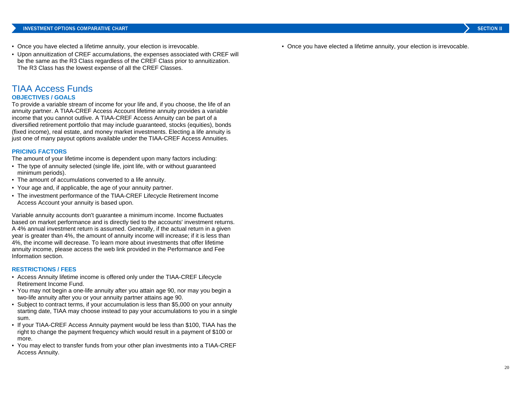- Once you have elected a lifetime annuity, your election is irrevocable.
- Upon annuitization of CREF accumulations, the expenses associated with CREF will be the same as the R3 Class regardless of the CREF Class prior to annuitization. The R3 Class has the lowest expense of all the CREF Classes.

## TIAA Access Funds

#### **OBJECTIVES / GOALS**

To provide a variable stream of income for your life and, if you choose, the life of an annuity partner. A TIAA-CREF Access Account lifetime annuity provides a variable income that you cannot outlive. A TIAA-CREF Access Annuity can be part of a diversified retirement portfolio that may include guaranteed, stocks (equities), bonds (fixed income), real estate, and money market investments. Electing a life annuity is just one of many payout options available under the TIAA-CREF Access Annuities.

#### **PRICING FACTORS**

The amount of your lifetime income is dependent upon many factors including:

- The type of annuity selected (single life, joint life, with or without guaranteed minimum periods).
- The amount of accumulations converted to a life annuity.
- Your age and, if applicable, the age of your annuity partner.
- The investment performance of the TIAA-CREF Lifecycle Retirement Income Access Account your annuity is based upon.

Variable annuity accounts don't guarantee a minimum income. Income fluctuates based on market performance and is directly tied to the accounts' investment returns. A 4% annual investment return is assumed. Generally, if the actual return in a given year is greater than 4%, the amount of annuity income will increase; if it is less than 4%, the income will decrease. To learn more about investments that offer lifetime annuity income, please access the web link provided in the Performance and Fee Information section.

#### **RESTRICTIONS / FEES**

- Access Annuity lifetime income is offered only under the TIAA-CREF Lifecycle Retirement Income Fund.
- You may not begin a one-life annuity after you attain age 90, nor may you begin a two-life annuity after you or your annuity partner attains age 90.
- Subject to contract terms, if your accumulation is less than \$5,000 on your annuity starting date, TIAA may choose instead to pay your accumulations to you in a single sum.
- If your TIAA-CREF Access Annuity payment would be less than \$100, TIAA has the right to change the payment frequency which would result in a payment of \$100 or more.
- You may elect to transfer funds from your other plan investments into a TIAA-CREF Access Annuity.

▪ Once you have elected a lifetime annuity, your election is irrevocable.